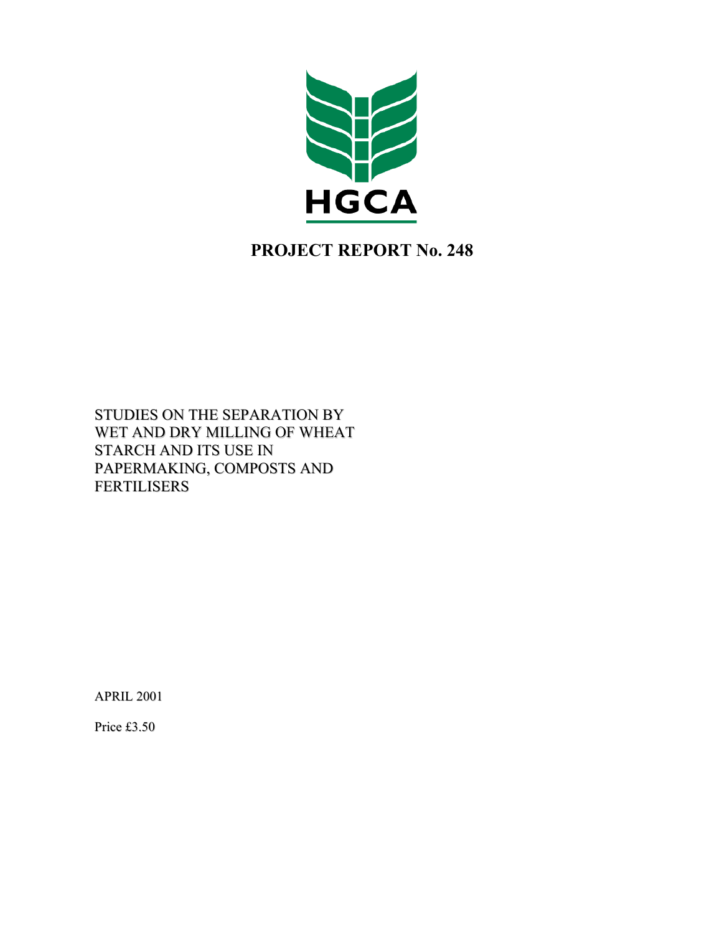

# **PROJECT REPORT No. 248**

STUDIES ON THE SEPARATION BY WET AND DRY MILLING OF WHEAT STARCH AND ITS USE IN PAPERMAKING, COMPOSTS AND FERTILISERS

APRIL 2001

Price £3.50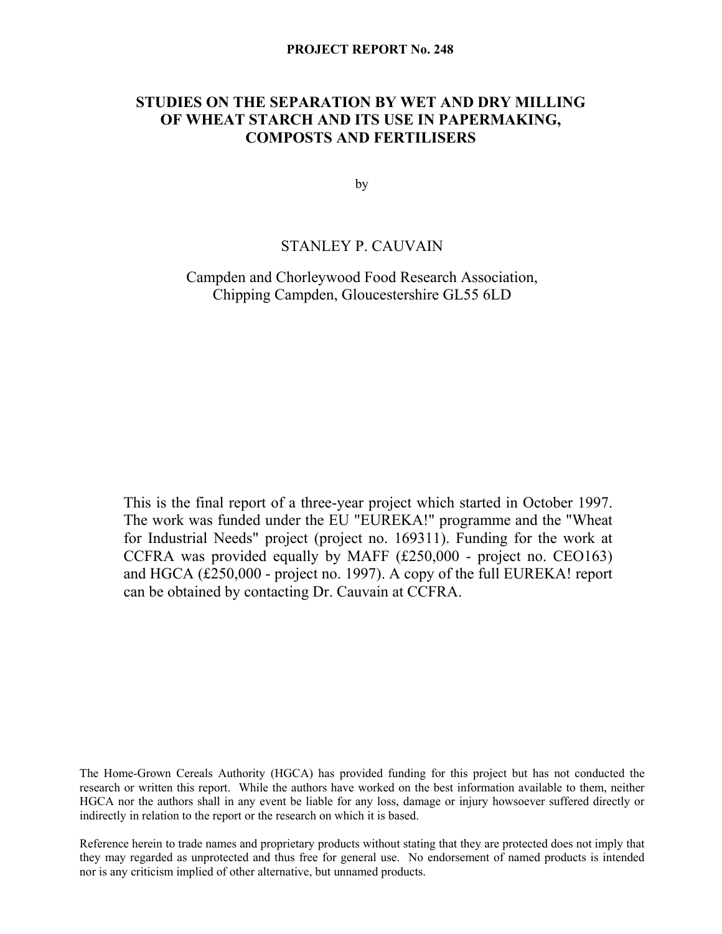# **STUDIES ON THE SEPARATION BY WET AND DRY MILLING OF WHEAT STARCH AND ITS USE IN PAPERMAKING, COMPOSTS AND FERTILISERS**

by

# STANLEY P. CAUVAIN

# Campden and Chorleywood Food Research Association, Chipping Campden, Gloucestershire GL55 6LD

This is the final report of a three-year project which started in October 1997. The work was funded under the EU "EUREKA!" programme and the "Wheat for Industrial Needs" project (project no. 169311). Funding for the work at CCFRA was provided equally by MAFF (£250,000 - project no. CEO163) and HGCA (£250,000 - project no. 1997). A copy of the full EUREKA! report can be obtained by contacting Dr. Cauvain at CCFRA.

The Home-Grown Cereals Authority (HGCA) has provided funding for this project but has not conducted the research or written this report. While the authors have worked on the best information available to them, neither HGCA nor the authors shall in any event be liable for any loss, damage or injury howsoever suffered directly or indirectly in relation to the report or the research on which it is based.

Reference herein to trade names and proprietary products without stating that they are protected does not imply that they may regarded as unprotected and thus free for general use. No endorsement of named products is intended nor is any criticism implied of other alternative, but unnamed products.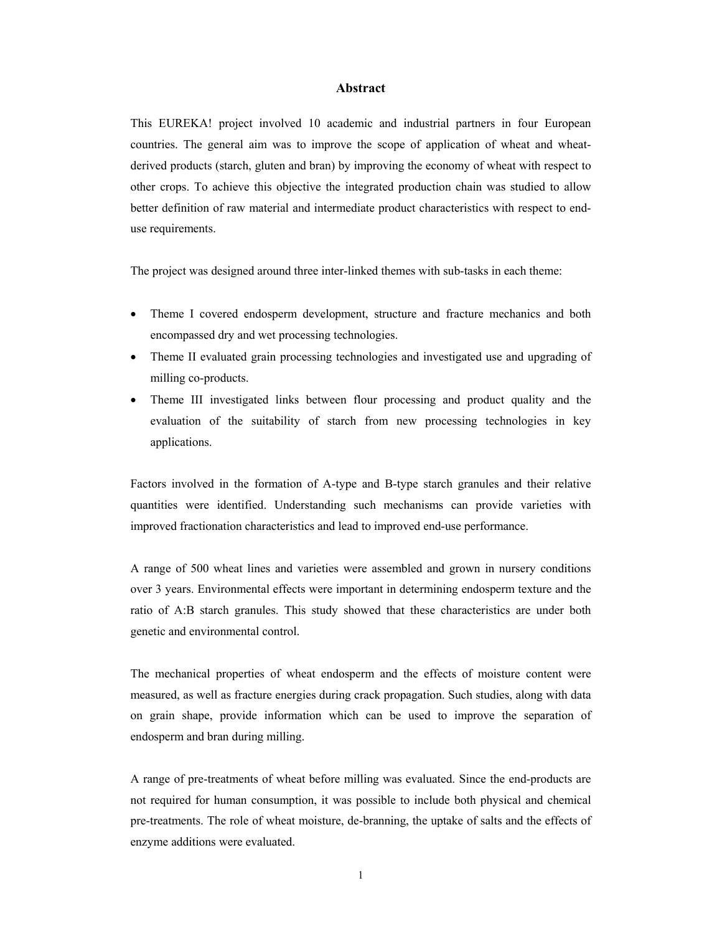### **Abstract**

This EUREKA! project involved 10 academic and industrial partners in four European countries. The general aim was to improve the scope of application of wheat and wheatderived products (starch, gluten and bran) by improving the economy of wheat with respect to other crops. To achieve this objective the integrated production chain was studied to allow better definition of raw material and intermediate product characteristics with respect to enduse requirements.

The project was designed around three inter-linked themes with sub-tasks in each theme:

- Theme I covered endosperm development, structure and fracture mechanics and both encompassed dry and wet processing technologies.
- Theme II evaluated grain processing technologies and investigated use and upgrading of milling co-products.
- Theme III investigated links between flour processing and product quality and the evaluation of the suitability of starch from new processing technologies in key applications.

Factors involved in the formation of A-type and B-type starch granules and their relative quantities were identified. Understanding such mechanisms can provide varieties with improved fractionation characteristics and lead to improved end-use performance.

A range of 500 wheat lines and varieties were assembled and grown in nursery conditions over 3 years. Environmental effects were important in determining endosperm texture and the ratio of A:B starch granules. This study showed that these characteristics are under both genetic and environmental control.

The mechanical properties of wheat endosperm and the effects of moisture content were measured, as well as fracture energies during crack propagation. Such studies, along with data on grain shape, provide information which can be used to improve the separation of endosperm and bran during milling.

A range of pre-treatments of wheat before milling was evaluated. Since the end-products are not required for human consumption, it was possible to include both physical and chemical pre-treatments. The role of wheat moisture, de-branning, the uptake of salts and the effects of enzyme additions were evaluated.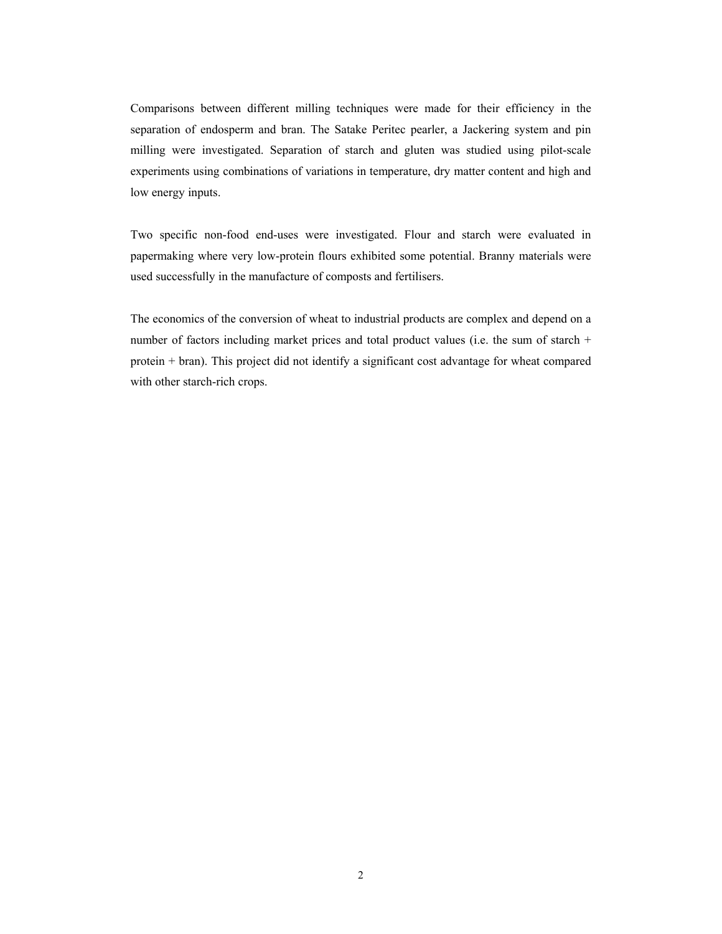Comparisons between different milling techniques were made for their efficiency in the separation of endosperm and bran. The Satake Peritec pearler, a Jackering system and pin milling were investigated. Separation of starch and gluten was studied using pilot-scale experiments using combinations of variations in temperature, dry matter content and high and low energy inputs.

Two specific non-food end-uses were investigated. Flour and starch were evaluated in papermaking where very low-protein flours exhibited some potential. Branny materials were used successfully in the manufacture of composts and fertilisers.

The economics of the conversion of wheat to industrial products are complex and depend on a number of factors including market prices and total product values (i.e. the sum of starch + protein + bran). This project did not identify a significant cost advantage for wheat compared with other starch-rich crops.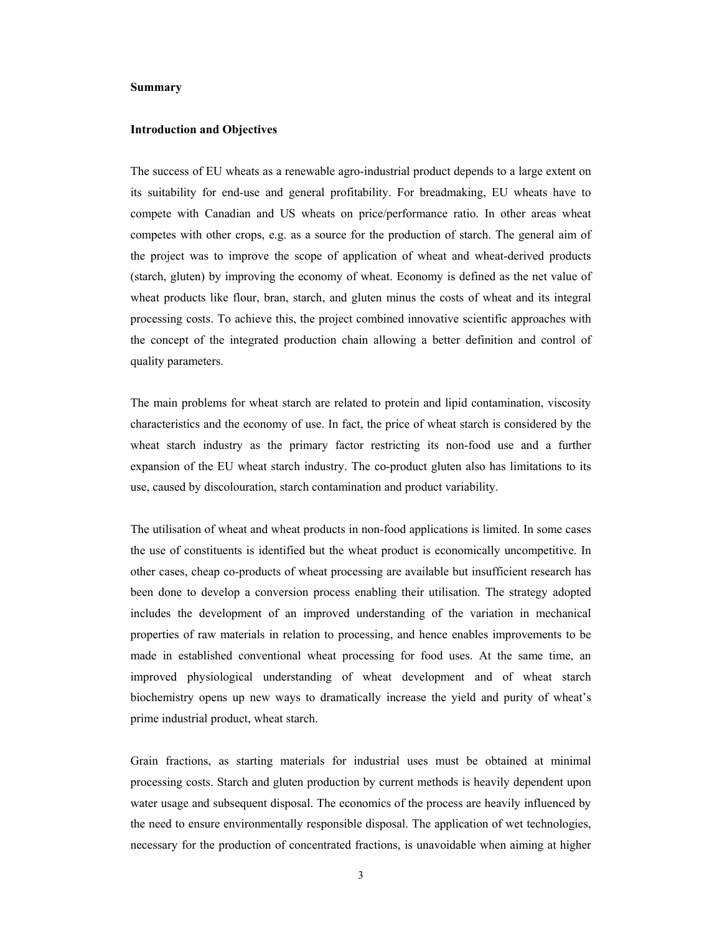#### **Summary**

#### **Introduction and Objectives**

The success of EU wheats as a renewable agro-industrial product depends to a large extent on its suitability for end-use and general profitability. For breadmaking, EU wheats have to compete with Canadian and US wheats on price/performance ratio. In other areas wheat competes with other crops, e.g. as a source for the production of starch. The general aim of the project was to improve the scope of application of wheat and wheat-derived products (starch, gluten) by improving the economy of wheat. Economy is defined as the net value of wheat products like flour, bran, starch, and gluten minus the costs of wheat and its integral processing costs. To achieve this, the project combined innovative scientific approaches with the concept of the integrated production chain allowing a better definition and control of quality parameters.

The main problems for wheat starch are related to protein and lipid contamination, viscosity characteristics and the economy of use. In fact, the price of wheat starch is considered by the wheat starch industry as the primary factor restricting its non-food use and a further expansion of the EU wheat starch industry. The co-product gluten also has limitations to its use, caused by discolouration, starch contamination and product variability.

The utilisation of wheat and wheat products in non-food applications is limited. In some cases the use of constituents is identified but the wheat product is economically uncompetitive. In other cases, cheap co-products of wheat processing are available but insufficient research has been done to develop a conversion process enabling their utilisation. The strategy adopted includes the development of an improved understanding of the variation in mechanical properties of raw materials in relation to processing, and hence enables improvements to be made in established conventional wheat processing for food uses. At the same time, an improved physiological understanding of wheat development and of wheat starch biochemistry opens up new ways to dramatically increase the yield and purity of wheat's prime industrial product, wheat starch.

Grain fractions, as starting materials for industrial uses must be obtained at minimal processing costs. Starch and gluten production by current methods is heavily dependent upon water usage and subsequent disposal. The economics of the process are heavily influenced by the need to ensure environmentally responsible disposal. The application of wet technologies, necessary for the production of concentrated fractions, is unavoidable when aiming at higher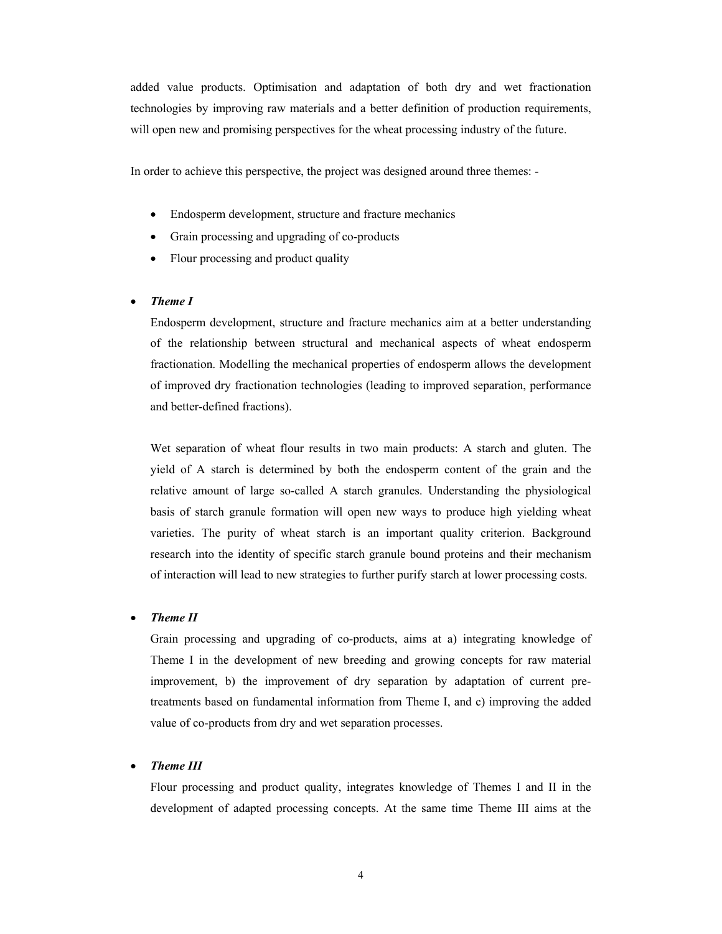added value products. Optimisation and adaptation of both dry and wet fractionation technologies by improving raw materials and a better definition of production requirements, will open new and promising perspectives for the wheat processing industry of the future.

In order to achieve this perspective, the project was designed around three themes: -

- Endosperm development, structure and fracture mechanics
- Grain processing and upgrading of co-products
- Flour processing and product quality

#### • *Theme I*

Endosperm development, structure and fracture mechanics aim at a better understanding of the relationship between structural and mechanical aspects of wheat endosperm fractionation. Modelling the mechanical properties of endosperm allows the development of improved dry fractionation technologies (leading to improved separation, performance and better-defined fractions).

Wet separation of wheat flour results in two main products: A starch and gluten. The yield of A starch is determined by both the endosperm content of the grain and the relative amount of large so-called A starch granules. Understanding the physiological basis of starch granule formation will open new ways to produce high yielding wheat varieties. The purity of wheat starch is an important quality criterion. Background research into the identity of specific starch granule bound proteins and their mechanism of interaction will lead to new strategies to further purify starch at lower processing costs.

#### • *Theme II*

Grain processing and upgrading of co-products, aims at a) integrating knowledge of Theme I in the development of new breeding and growing concepts for raw material improvement, b) the improvement of dry separation by adaptation of current pretreatments based on fundamental information from Theme I, and c) improving the added value of co-products from dry and wet separation processes.

# • *Theme III*

Flour processing and product quality, integrates knowledge of Themes I and II in the development of adapted processing concepts. At the same time Theme III aims at the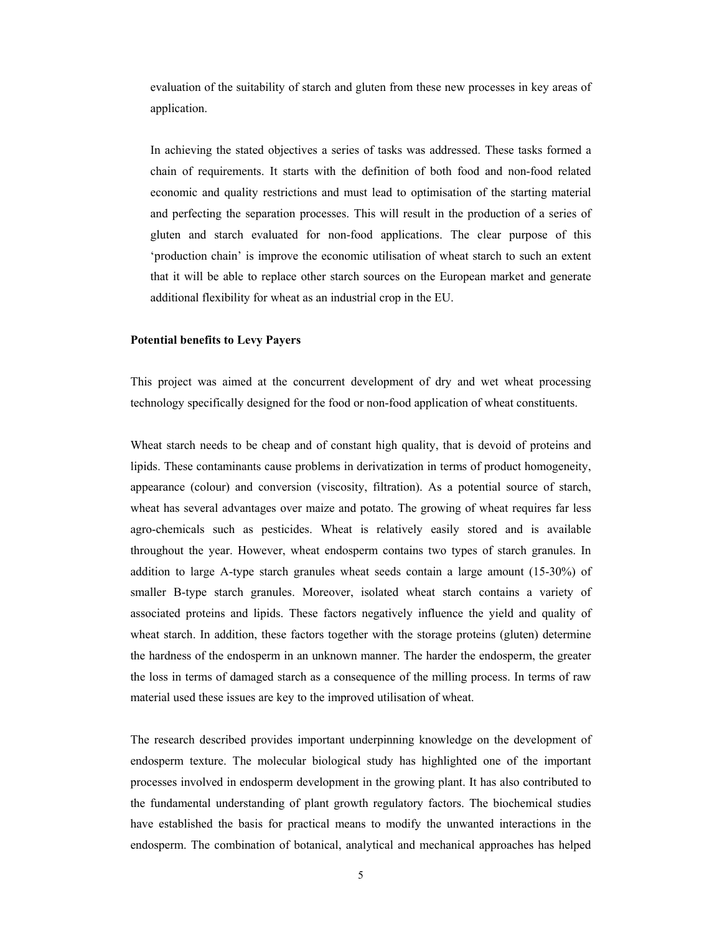evaluation of the suitability of starch and gluten from these new processes in key areas of application.

In achieving the stated objectives a series of tasks was addressed. These tasks formed a chain of requirements. It starts with the definition of both food and non-food related economic and quality restrictions and must lead to optimisation of the starting material and perfecting the separation processes. This will result in the production of a series of gluten and starch evaluated for non-food applications. The clear purpose of this 'production chain' is improve the economic utilisation of wheat starch to such an extent that it will be able to replace other starch sources on the European market and generate additional flexibility for wheat as an industrial crop in the EU.

#### **Potential benefits to Levy Payers**

This project was aimed at the concurrent development of dry and wet wheat processing technology specifically designed for the food or non-food application of wheat constituents.

Wheat starch needs to be cheap and of constant high quality, that is devoid of proteins and lipids. These contaminants cause problems in derivatization in terms of product homogeneity, appearance (colour) and conversion (viscosity, filtration). As a potential source of starch, wheat has several advantages over maize and potato. The growing of wheat requires far less agro-chemicals such as pesticides. Wheat is relatively easily stored and is available throughout the year. However, wheat endosperm contains two types of starch granules. In addition to large A-type starch granules wheat seeds contain a large amount (15-30%) of smaller B-type starch granules. Moreover, isolated wheat starch contains a variety of associated proteins and lipids. These factors negatively influence the yield and quality of wheat starch. In addition, these factors together with the storage proteins (gluten) determine the hardness of the endosperm in an unknown manner. The harder the endosperm, the greater the loss in terms of damaged starch as a consequence of the milling process. In terms of raw material used these issues are key to the improved utilisation of wheat.

The research described provides important underpinning knowledge on the development of endosperm texture. The molecular biological study has highlighted one of the important processes involved in endosperm development in the growing plant. It has also contributed to the fundamental understanding of plant growth regulatory factors. The biochemical studies have established the basis for practical means to modify the unwanted interactions in the endosperm. The combination of botanical, analytical and mechanical approaches has helped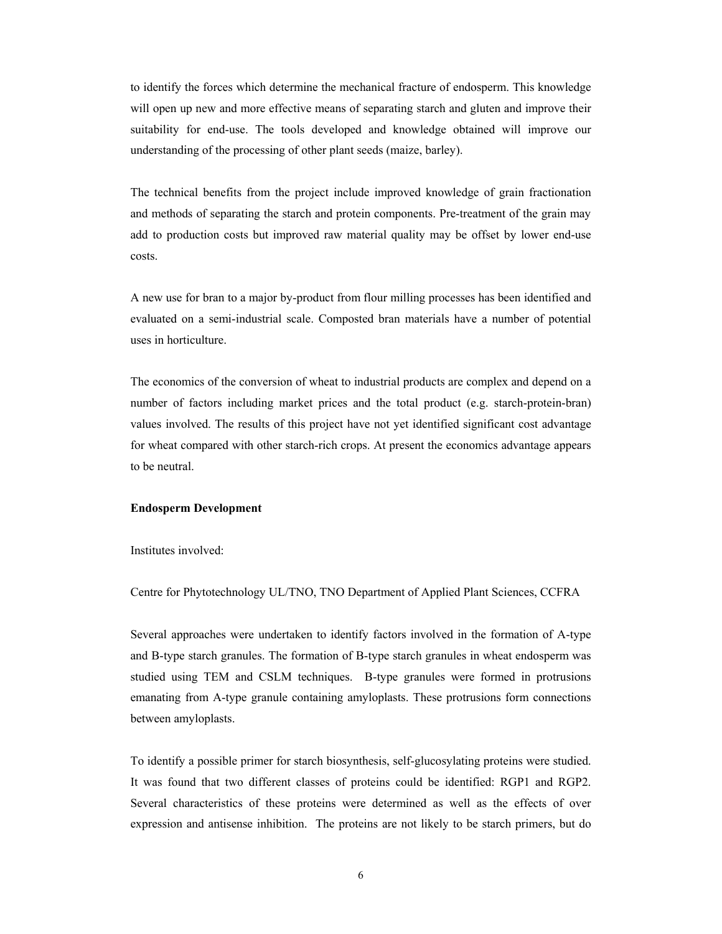to identify the forces which determine the mechanical fracture of endosperm. This knowledge will open up new and more effective means of separating starch and gluten and improve their suitability for end-use. The tools developed and knowledge obtained will improve our understanding of the processing of other plant seeds (maize, barley).

The technical benefits from the project include improved knowledge of grain fractionation and methods of separating the starch and protein components. Pre-treatment of the grain may add to production costs but improved raw material quality may be offset by lower end-use costs.

A new use for bran to a major by-product from flour milling processes has been identified and evaluated on a semi-industrial scale. Composted bran materials have a number of potential uses in horticulture.

The economics of the conversion of wheat to industrial products are complex and depend on a number of factors including market prices and the total product (e.g. starch-protein-bran) values involved. The results of this project have not yet identified significant cost advantage for wheat compared with other starch-rich crops. At present the economics advantage appears to be neutral.

#### **Endosperm Development**

Institutes involved:

Centre for Phytotechnology UL/TNO, TNO Department of Applied Plant Sciences, CCFRA

Several approaches were undertaken to identify factors involved in the formation of A-type and B-type starch granules. The formation of B-type starch granules in wheat endosperm was studied using TEM and CSLM techniques. B-type granules were formed in protrusions emanating from A-type granule containing amyloplasts. These protrusions form connections between amyloplasts.

To identify a possible primer for starch biosynthesis, self-glucosylating proteins were studied. It was found that two different classes of proteins could be identified: RGP1 and RGP2. Several characteristics of these proteins were determined as well as the effects of over expression and antisense inhibition. The proteins are not likely to be starch primers, but do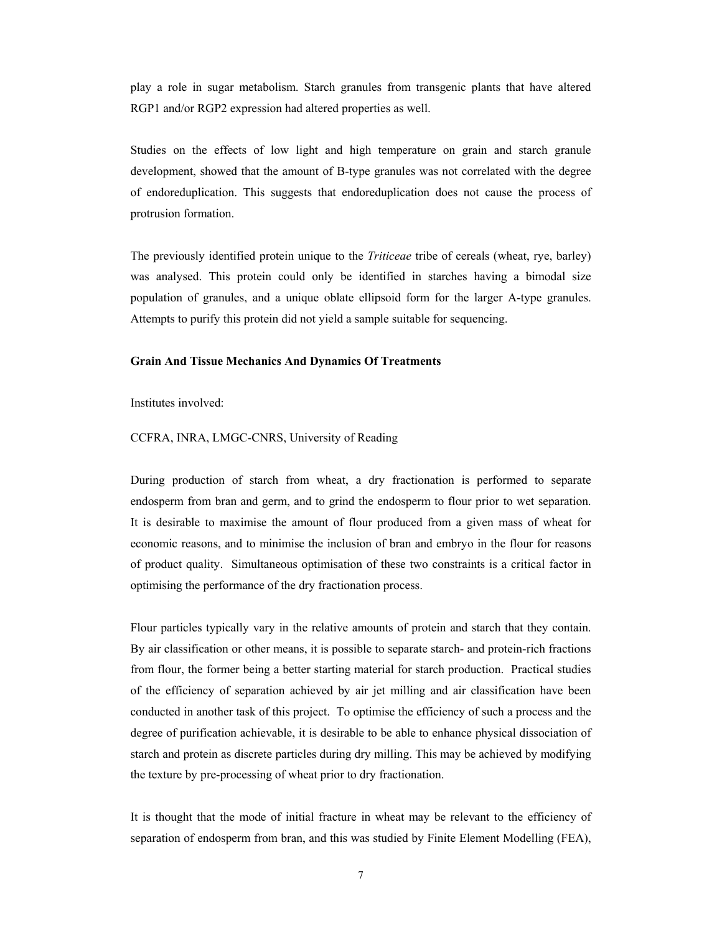play a role in sugar metabolism. Starch granules from transgenic plants that have altered RGP1 and/or RGP2 expression had altered properties as well.

Studies on the effects of low light and high temperature on grain and starch granule development, showed that the amount of B-type granules was not correlated with the degree of endoreduplication. This suggests that endoreduplication does not cause the process of protrusion formation.

The previously identified protein unique to the *Triticeae* tribe of cereals (wheat, rye, barley) was analysed. This protein could only be identified in starches having a bimodal size population of granules, and a unique oblate ellipsoid form for the larger A-type granules. Attempts to purify this protein did not yield a sample suitable for sequencing.

#### **Grain And Tissue Mechanics And Dynamics Of Treatments**

Institutes involved:

#### CCFRA, INRA, LMGC-CNRS, University of Reading

During production of starch from wheat, a dry fractionation is performed to separate endosperm from bran and germ, and to grind the endosperm to flour prior to wet separation. It is desirable to maximise the amount of flour produced from a given mass of wheat for economic reasons, and to minimise the inclusion of bran and embryo in the flour for reasons of product quality. Simultaneous optimisation of these two constraints is a critical factor in optimising the performance of the dry fractionation process.

Flour particles typically vary in the relative amounts of protein and starch that they contain. By air classification or other means, it is possible to separate starch- and protein-rich fractions from flour, the former being a better starting material for starch production. Practical studies of the efficiency of separation achieved by air jet milling and air classification have been conducted in another task of this project. To optimise the efficiency of such a process and the degree of purification achievable, it is desirable to be able to enhance physical dissociation of starch and protein as discrete particles during dry milling. This may be achieved by modifying the texture by pre-processing of wheat prior to dry fractionation.

It is thought that the mode of initial fracture in wheat may be relevant to the efficiency of separation of endosperm from bran, and this was studied by Finite Element Modelling (FEA),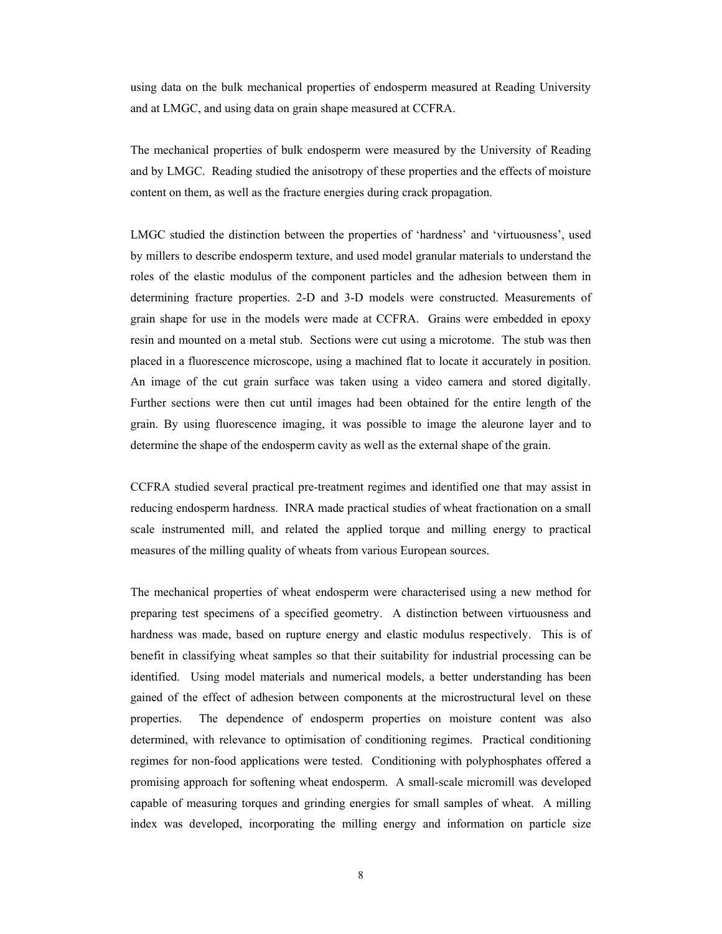using data on the bulk mechanical properties of endosperm measured at Reading University and at LMGC, and using data on grain shape measured at CCFRA.

The mechanical properties of bulk endosperm were measured by the University of Reading and by LMGC. Reading studied the anisotropy of these properties and the effects of moisture content on them, as well as the fracture energies during crack propagation.

LMGC studied the distinction between the properties of 'hardness' and 'virtuousness', used by millers to describe endosperm texture, and used model granular materials to understand the roles of the elastic modulus of the component particles and the adhesion between them in determining fracture properties. 2-D and 3-D models were constructed. Measurements of grain shape for use in the models were made at CCFRA. Grains were embedded in epoxy resin and mounted on a metal stub. Sections were cut using a microtome. The stub was then placed in a fluorescence microscope, using a machined flat to locate it accurately in position. An image of the cut grain surface was taken using a video camera and stored digitally. Further sections were then cut until images had been obtained for the entire length of the grain. By using fluorescence imaging, it was possible to image the aleurone layer and to determine the shape of the endosperm cavity as well as the external shape of the grain.

CCFRA studied several practical pre-treatment regimes and identified one that may assist in reducing endosperm hardness. INRA made practical studies of wheat fractionation on a small scale instrumented mill, and related the applied torque and milling energy to practical measures of the milling quality of wheats from various European sources.

The mechanical properties of wheat endosperm were characterised using a new method for preparing test specimens of a specified geometry. A distinction between virtuousness and hardness was made, based on rupture energy and elastic modulus respectively. This is of benefit in classifying wheat samples so that their suitability for industrial processing can be identified. Using model materials and numerical models, a better understanding has been gained of the effect of adhesion between components at the microstructural level on these properties. The dependence of endosperm properties on moisture content was also determined, with relevance to optimisation of conditioning regimes. Practical conditioning regimes for non-food applications were tested. Conditioning with polyphosphates offered a promising approach for softening wheat endosperm. A small-scale micromill was developed capable of measuring torques and grinding energies for small samples of wheat. A milling index was developed, incorporating the milling energy and information on particle size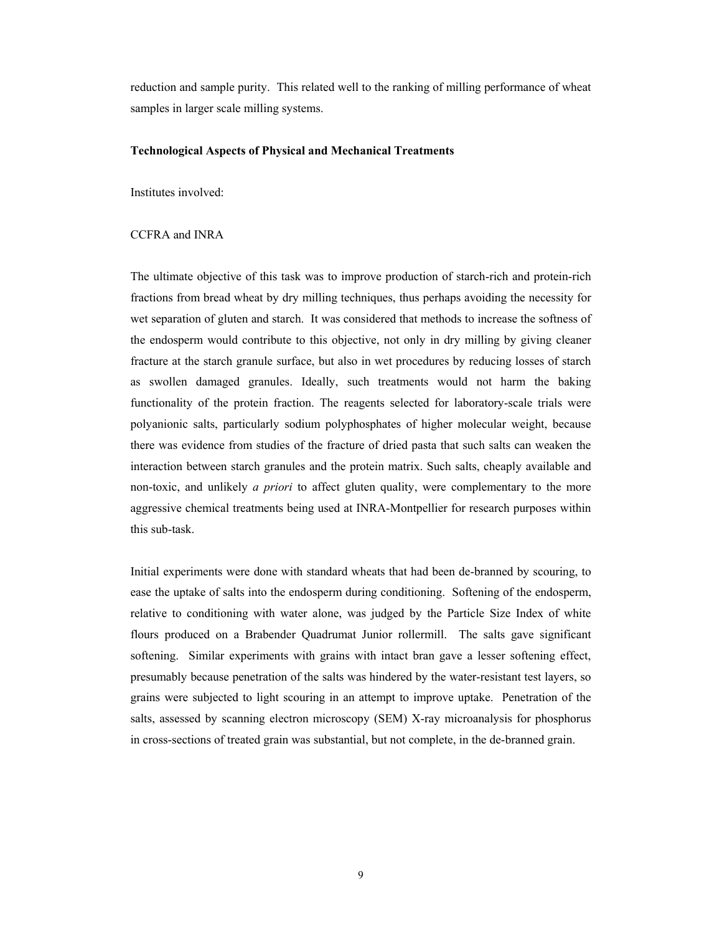reduction and sample purity. This related well to the ranking of milling performance of wheat samples in larger scale milling systems.

#### **Technological Aspects of Physical and Mechanical Treatments**

Institutes involved:

## CCFRA and INRA

The ultimate objective of this task was to improve production of starch-rich and protein-rich fractions from bread wheat by dry milling techniques, thus perhaps avoiding the necessity for wet separation of gluten and starch. It was considered that methods to increase the softness of the endosperm would contribute to this objective, not only in dry milling by giving cleaner fracture at the starch granule surface, but also in wet procedures by reducing losses of starch as swollen damaged granules. Ideally, such treatments would not harm the baking functionality of the protein fraction. The reagents selected for laboratory-scale trials were polyanionic salts, particularly sodium polyphosphates of higher molecular weight, because there was evidence from studies of the fracture of dried pasta that such salts can weaken the interaction between starch granules and the protein matrix. Such salts, cheaply available and non-toxic, and unlikely *a priori* to affect gluten quality, were complementary to the more aggressive chemical treatments being used at INRA-Montpellier for research purposes within this sub-task.

Initial experiments were done with standard wheats that had been de-branned by scouring, to ease the uptake of salts into the endosperm during conditioning. Softening of the endosperm, relative to conditioning with water alone, was judged by the Particle Size Index of white flours produced on a Brabender Quadrumat Junior rollermill. The salts gave significant softening. Similar experiments with grains with intact bran gave a lesser softening effect, presumably because penetration of the salts was hindered by the water-resistant test layers, so grains were subjected to light scouring in an attempt to improve uptake. Penetration of the salts, assessed by scanning electron microscopy (SEM) X-ray microanalysis for phosphorus in cross-sections of treated grain was substantial, but not complete, in the de-branned grain.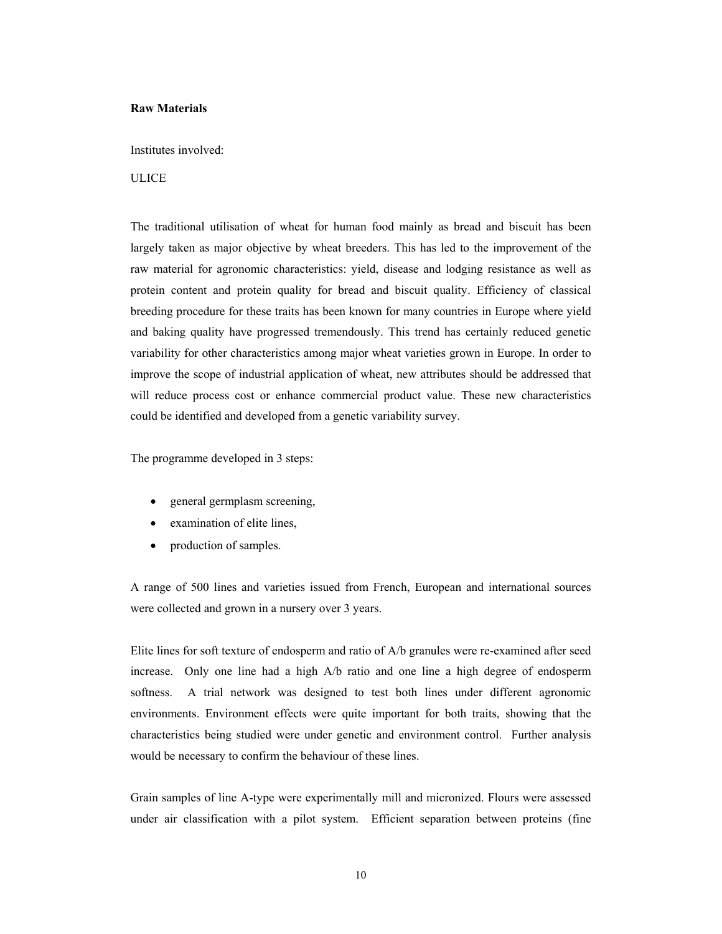#### **Raw Materials**

Institutes involved:

## **ULICE**

The traditional utilisation of wheat for human food mainly as bread and biscuit has been largely taken as major objective by wheat breeders. This has led to the improvement of the raw material for agronomic characteristics: yield, disease and lodging resistance as well as protein content and protein quality for bread and biscuit quality. Efficiency of classical breeding procedure for these traits has been known for many countries in Europe where yield and baking quality have progressed tremendously. This trend has certainly reduced genetic variability for other characteristics among major wheat varieties grown in Europe. In order to improve the scope of industrial application of wheat, new attributes should be addressed that will reduce process cost or enhance commercial product value. These new characteristics could be identified and developed from a genetic variability survey.

The programme developed in 3 steps:

- general germplasm screening,
- examination of elite lines.
- production of samples.

A range of 500 lines and varieties issued from French, European and international sources were collected and grown in a nursery over 3 years.

Elite lines for soft texture of endosperm and ratio of A/b granules were re-examined after seed increase. Only one line had a high A/b ratio and one line a high degree of endosperm softness. A trial network was designed to test both lines under different agronomic environments. Environment effects were quite important for both traits, showing that the characteristics being studied were under genetic and environment control. Further analysis would be necessary to confirm the behaviour of these lines.

Grain samples of line A-type were experimentally mill and micronized. Flours were assessed under air classification with a pilot system. Efficient separation between proteins (fine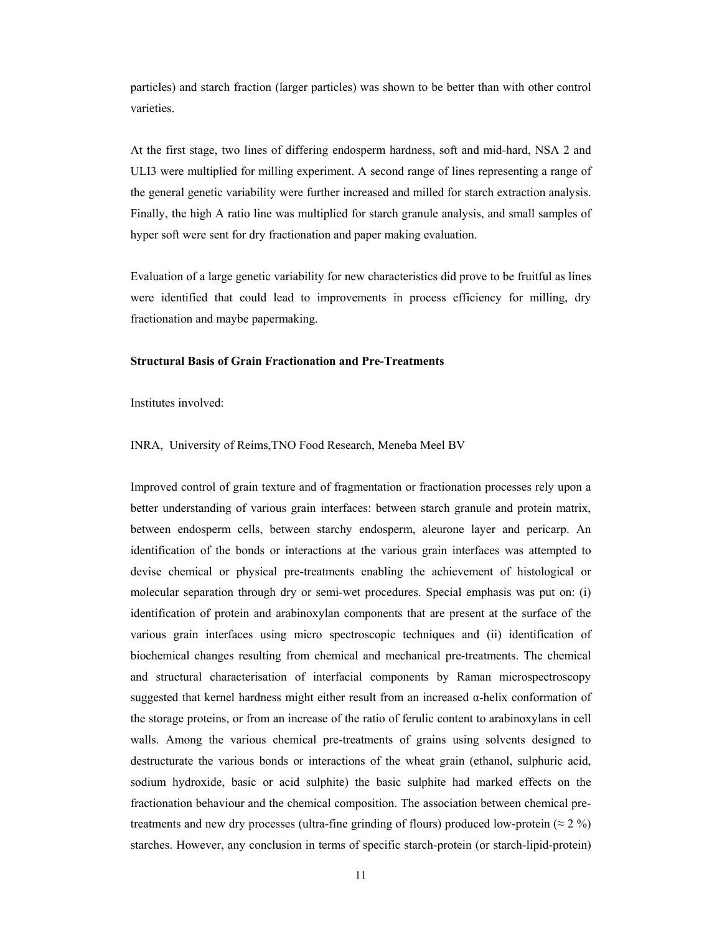particles) and starch fraction (larger particles) was shown to be better than with other control varieties.

At the first stage, two lines of differing endosperm hardness, soft and mid-hard, NSA 2 and ULI3 were multiplied for milling experiment. A second range of lines representing a range of the general genetic variability were further increased and milled for starch extraction analysis. Finally, the high A ratio line was multiplied for starch granule analysis, and small samples of hyper soft were sent for dry fractionation and paper making evaluation.

Evaluation of a large genetic variability for new characteristics did prove to be fruitful as lines were identified that could lead to improvements in process efficiency for milling, dry fractionation and maybe papermaking.

#### **Structural Basis of Grain Fractionation and Pre-Treatments**

Institutes involved:

INRA, University of Reims,TNO Food Research, Meneba Meel BV

Improved control of grain texture and of fragmentation or fractionation processes rely upon a better understanding of various grain interfaces: between starch granule and protein matrix, between endosperm cells, between starchy endosperm, aleurone layer and pericarp. An identification of the bonds or interactions at the various grain interfaces was attempted to devise chemical or physical pre-treatments enabling the achievement of histological or molecular separation through dry or semi-wet procedures. Special emphasis was put on: (i) identification of protein and arabinoxylan components that are present at the surface of the various grain interfaces using micro spectroscopic techniques and (ii) identification of biochemical changes resulting from chemical and mechanical pre-treatments. The chemical and structural characterisation of interfacial components by Raman microspectroscopy suggested that kernel hardness might either result from an increased α-helix conformation of the storage proteins, or from an increase of the ratio of ferulic content to arabinoxylans in cell walls. Among the various chemical pre-treatments of grains using solvents designed to destructurate the various bonds or interactions of the wheat grain (ethanol, sulphuric acid, sodium hydroxide, basic or acid sulphite) the basic sulphite had marked effects on the fractionation behaviour and the chemical composition. The association between chemical pretreatments and new dry processes (ultra-fine grinding of flours) produced low-protein ( $\approx 2\%$ ) starches. However, any conclusion in terms of specific starch-protein (or starch-lipid-protein)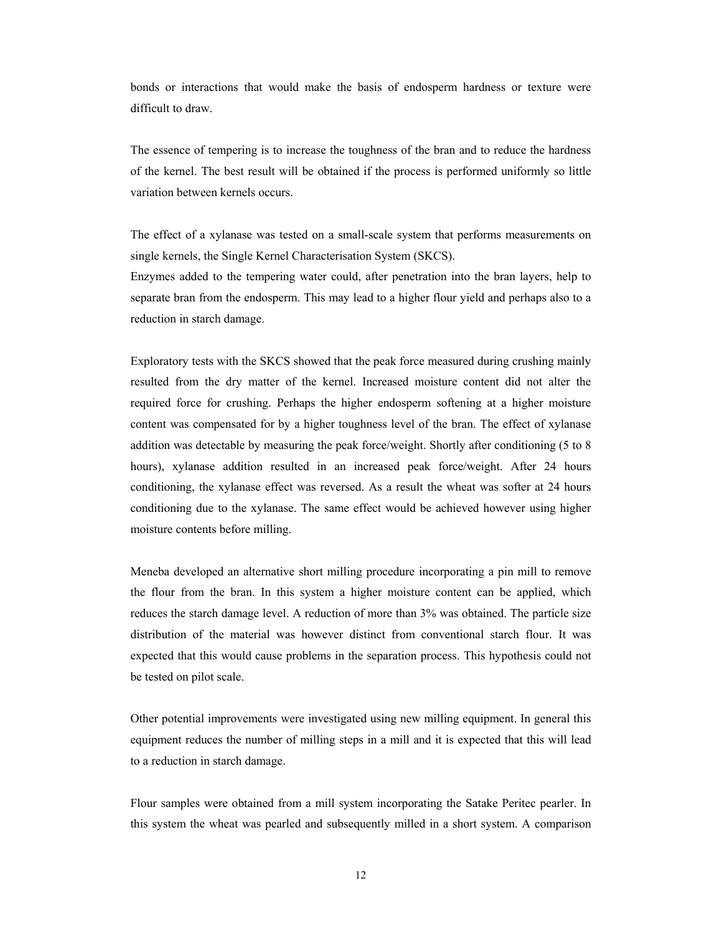bonds or interactions that would make the basis of endosperm hardness or texture were difficult to draw.

The essence of tempering is to increase the toughness of the bran and to reduce the hardness of the kernel. The best result will be obtained if the process is performed uniformly so little variation between kernels occurs.

The effect of a xylanase was tested on a small-scale system that performs measurements on single kernels, the Single Kernel Characterisation System (SKCS).

Enzymes added to the tempering water could, after penetration into the bran layers, help to separate bran from the endosperm. This may lead to a higher flour yield and perhaps also to a reduction in starch damage.

Exploratory tests with the SKCS showed that the peak force measured during crushing mainly resulted from the dry matter of the kernel. Increased moisture content did not alter the required force for crushing. Perhaps the higher endosperm softening at a higher moisture content was compensated for by a higher toughness level of the bran. The effect of xylanase addition was detectable by measuring the peak force/weight. Shortly after conditioning (5 to 8 hours), xylanase addition resulted in an increased peak force/weight. After 24 hours conditioning, the xylanase effect was reversed. As a result the wheat was softer at 24 hours conditioning due to the xylanase. The same effect would be achieved however using higher moisture contents before milling.

Meneba developed an alternative short milling procedure incorporating a pin mill to remove the flour from the bran. In this system a higher moisture content can be applied, which reduces the starch damage level. A reduction of more than 3% was obtained. The particle size distribution of the material was however distinct from conventional starch flour. It was expected that this would cause problems in the separation process. This hypothesis could not be tested on pilot scale.

Other potential improvements were investigated using new milling equipment. In general this equipment reduces the number of milling steps in a mill and it is expected that this will lead to a reduction in starch damage.

Flour samples were obtained from a mill system incorporating the Satake Peritec pearler. In this system the wheat was pearled and subsequently milled in a short system. A comparison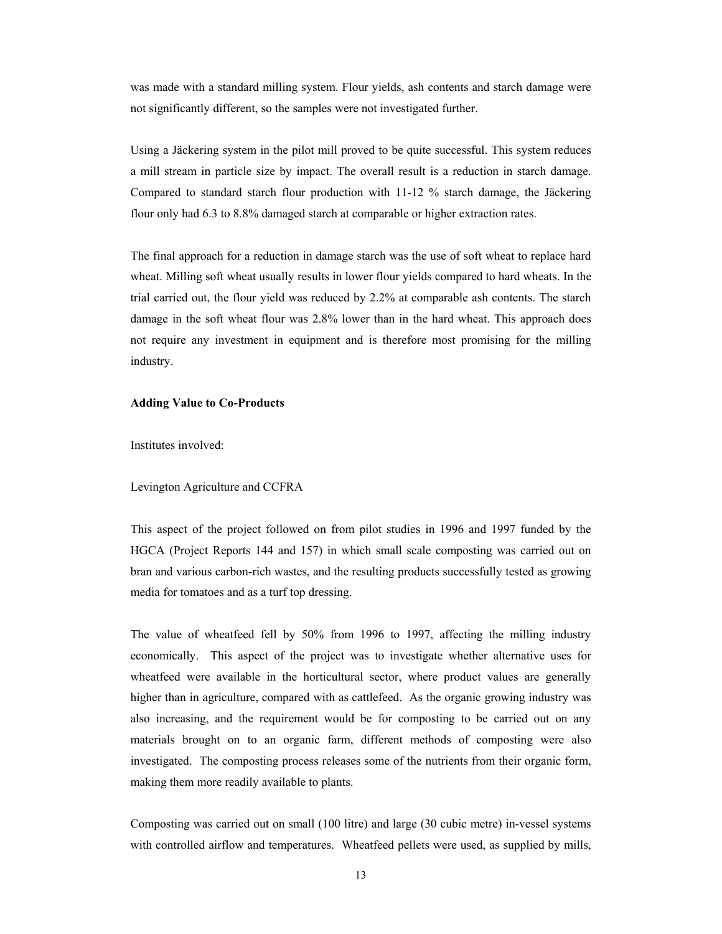was made with a standard milling system. Flour yields, ash contents and starch damage were not significantly different, so the samples were not investigated further.

Using a Jäckering system in the pilot mill proved to be quite successful. This system reduces a mill stream in particle size by impact. The overall result is a reduction in starch damage. Compared to standard starch flour production with 11-12 % starch damage, the Jäckering flour only had 6.3 to 8.8% damaged starch at comparable or higher extraction rates.

The final approach for a reduction in damage starch was the use of soft wheat to replace hard wheat. Milling soft wheat usually results in lower flour yields compared to hard wheats. In the trial carried out, the flour yield was reduced by 2.2% at comparable ash contents. The starch damage in the soft wheat flour was 2.8% lower than in the hard wheat. This approach does not require any investment in equipment and is therefore most promising for the milling industry.

#### **Adding Value to Co-Products**

Institutes involved:

Levington Agriculture and CCFRA

This aspect of the project followed on from pilot studies in 1996 and 1997 funded by the HGCA (Project Reports 144 and 157) in which small scale composting was carried out on bran and various carbon-rich wastes, and the resulting products successfully tested as growing media for tomatoes and as a turf top dressing.

The value of wheatfeed fell by 50% from 1996 to 1997, affecting the milling industry economically. This aspect of the project was to investigate whether alternative uses for wheatfeed were available in the horticultural sector, where product values are generally higher than in agriculture, compared with as cattlefeed. As the organic growing industry was also increasing, and the requirement would be for composting to be carried out on any materials brought on to an organic farm, different methods of composting were also investigated. The composting process releases some of the nutrients from their organic form, making them more readily available to plants.

Composting was carried out on small (100 litre) and large (30 cubic metre) in-vessel systems with controlled airflow and temperatures. Wheatfeed pellets were used, as supplied by mills,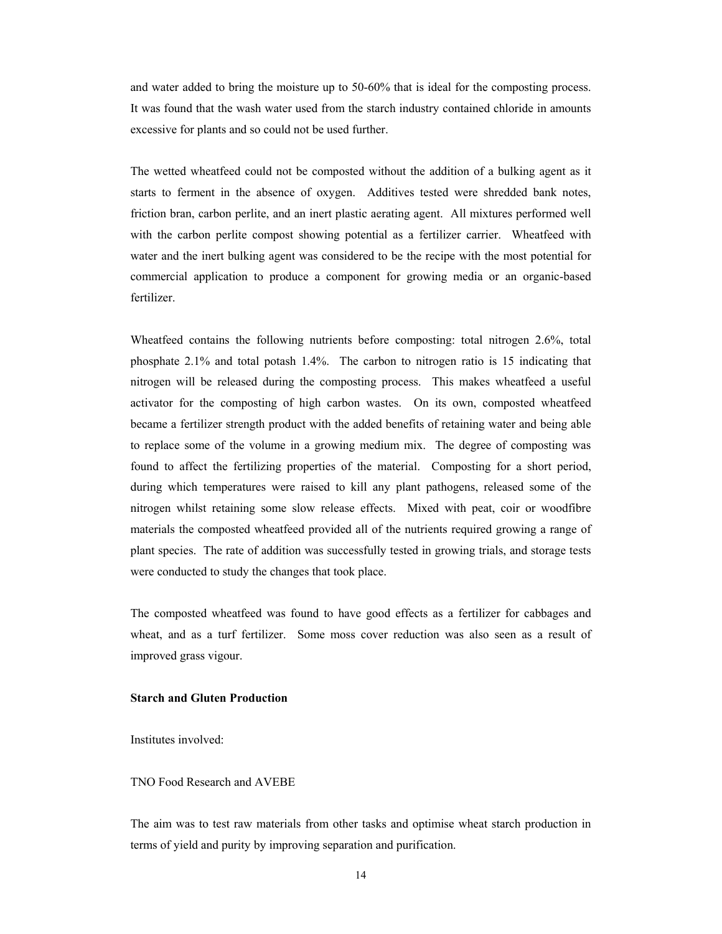and water added to bring the moisture up to 50-60% that is ideal for the composting process. It was found that the wash water used from the starch industry contained chloride in amounts excessive for plants and so could not be used further.

The wetted wheatfeed could not be composted without the addition of a bulking agent as it starts to ferment in the absence of oxygen. Additives tested were shredded bank notes, friction bran, carbon perlite, and an inert plastic aerating agent. All mixtures performed well with the carbon perlite compost showing potential as a fertilizer carrier. Wheatfeed with water and the inert bulking agent was considered to be the recipe with the most potential for commercial application to produce a component for growing media or an organic-based fertilizer.

Wheatfeed contains the following nutrients before composting: total nitrogen 2.6%, total phosphate 2.1% and total potash 1.4%. The carbon to nitrogen ratio is 15 indicating that nitrogen will be released during the composting process. This makes wheatfeed a useful activator for the composting of high carbon wastes. On its own, composted wheatfeed became a fertilizer strength product with the added benefits of retaining water and being able to replace some of the volume in a growing medium mix. The degree of composting was found to affect the fertilizing properties of the material. Composting for a short period, during which temperatures were raised to kill any plant pathogens, released some of the nitrogen whilst retaining some slow release effects. Mixed with peat, coir or woodfibre materials the composted wheatfeed provided all of the nutrients required growing a range of plant species. The rate of addition was successfully tested in growing trials, and storage tests were conducted to study the changes that took place.

The composted wheatfeed was found to have good effects as a fertilizer for cabbages and wheat, and as a turf fertilizer. Some moss cover reduction was also seen as a result of improved grass vigour.

#### **Starch and Gluten Production**

Institutes involved:

### TNO Food Research and AVEBE

The aim was to test raw materials from other tasks and optimise wheat starch production in terms of yield and purity by improving separation and purification.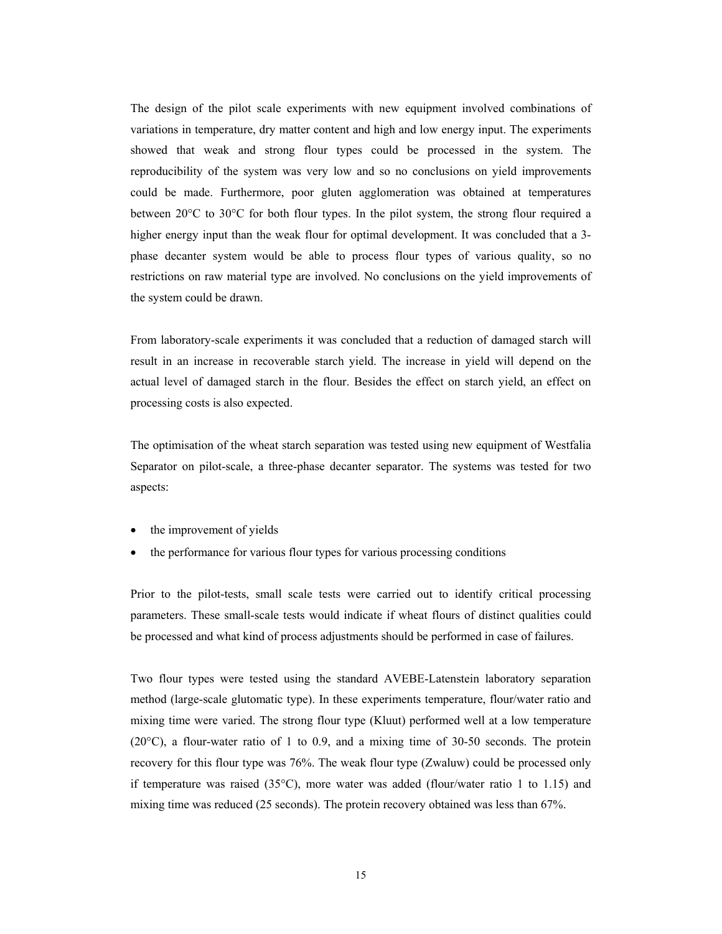The design of the pilot scale experiments with new equipment involved combinations of variations in temperature, dry matter content and high and low energy input. The experiments showed that weak and strong flour types could be processed in the system. The reproducibility of the system was very low and so no conclusions on yield improvements could be made. Furthermore, poor gluten agglomeration was obtained at temperatures between 20°C to 30°C for both flour types. In the pilot system, the strong flour required a higher energy input than the weak flour for optimal development. It was concluded that a 3phase decanter system would be able to process flour types of various quality, so no restrictions on raw material type are involved. No conclusions on the yield improvements of the system could be drawn.

From laboratory-scale experiments it was concluded that a reduction of damaged starch will result in an increase in recoverable starch yield. The increase in yield will depend on the actual level of damaged starch in the flour. Besides the effect on starch yield, an effect on processing costs is also expected.

The optimisation of the wheat starch separation was tested using new equipment of Westfalia Separator on pilot-scale, a three-phase decanter separator. The systems was tested for two aspects:

- the improvement of yields
- the performance for various flour types for various processing conditions

Prior to the pilot-tests, small scale tests were carried out to identify critical processing parameters. These small-scale tests would indicate if wheat flours of distinct qualities could be processed and what kind of process adjustments should be performed in case of failures.

Two flour types were tested using the standard AVEBE-Latenstein laboratory separation method (large-scale glutomatic type). In these experiments temperature, flour/water ratio and mixing time were varied. The strong flour type (Kluut) performed well at a low temperature  $(20^{\circ}C)$ , a flour-water ratio of 1 to 0.9, and a mixing time of 30-50 seconds. The protein recovery for this flour type was 76%. The weak flour type (Zwaluw) could be processed only if temperature was raised (35°C), more water was added (flour/water ratio 1 to 1.15) and mixing time was reduced (25 seconds). The protein recovery obtained was less than 67%.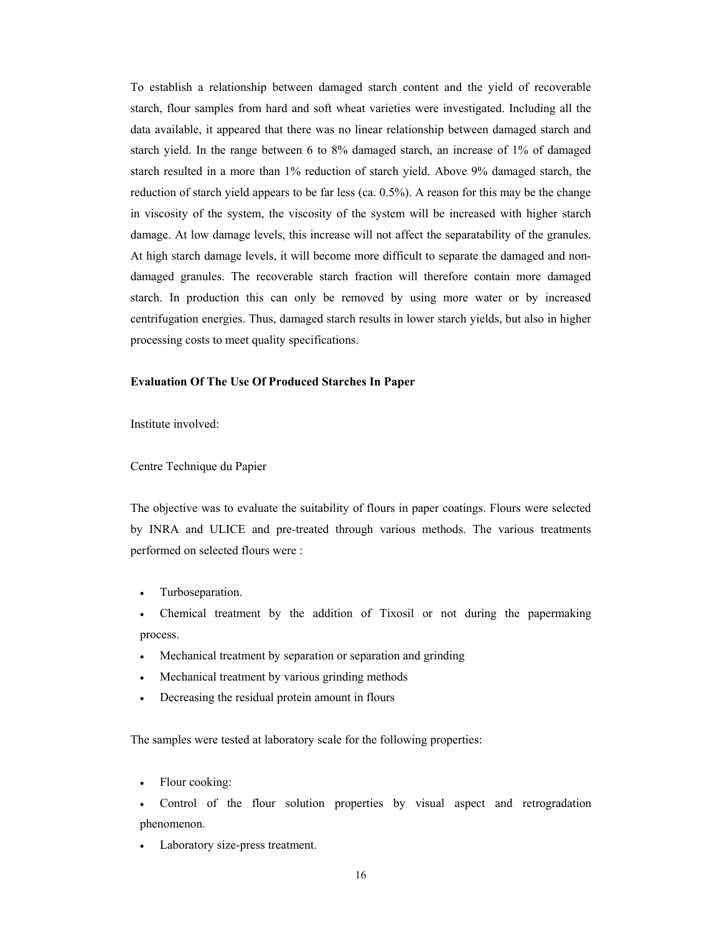To establish a relationship between damaged starch content and the yield of recoverable starch, flour samples from hard and soft wheat varieties were investigated. Including all the data available, it appeared that there was no linear relationship between damaged starch and starch yield. In the range between 6 to 8% damaged starch, an increase of 1% of damaged starch resulted in a more than 1% reduction of starch yield. Above 9% damaged starch, the reduction of starch yield appears to be far less (ca. 0.5%). A reason for this may be the change in viscosity of the system, the viscosity of the system will be increased with higher starch damage. At low damage levels, this increase will not affect the separatability of the granules. At high starch damage levels, it will become more difficult to separate the damaged and nondamaged granules. The recoverable starch fraction will therefore contain more damaged starch. In production this can only be removed by using more water or by increased centrifugation energies. Thus, damaged starch results in lower starch yields, but also in higher processing costs to meet quality specifications.

#### **Evaluation Of The Use Of Produced Starches In Paper**

Institute involved:

#### Centre Technique du Papier

The objective was to evaluate the suitability of flours in paper coatings. Flours were selected by INRA and ULICE and pre-treated through various methods. The various treatments performed on selected flours were :

- Turboseparation.
- Chemical treatment by the addition of Tixosil or not during the papermaking process.
- Mechanical treatment by separation or separation and grinding
- Mechanical treatment by various grinding methods
- Decreasing the residual protein amount in flours

The samples were tested at laboratory scale for the following properties:

- Flour cooking:
- Control of the flour solution properties by visual aspect and retrogradation phenomenon.
- Laboratory size-press treatment.